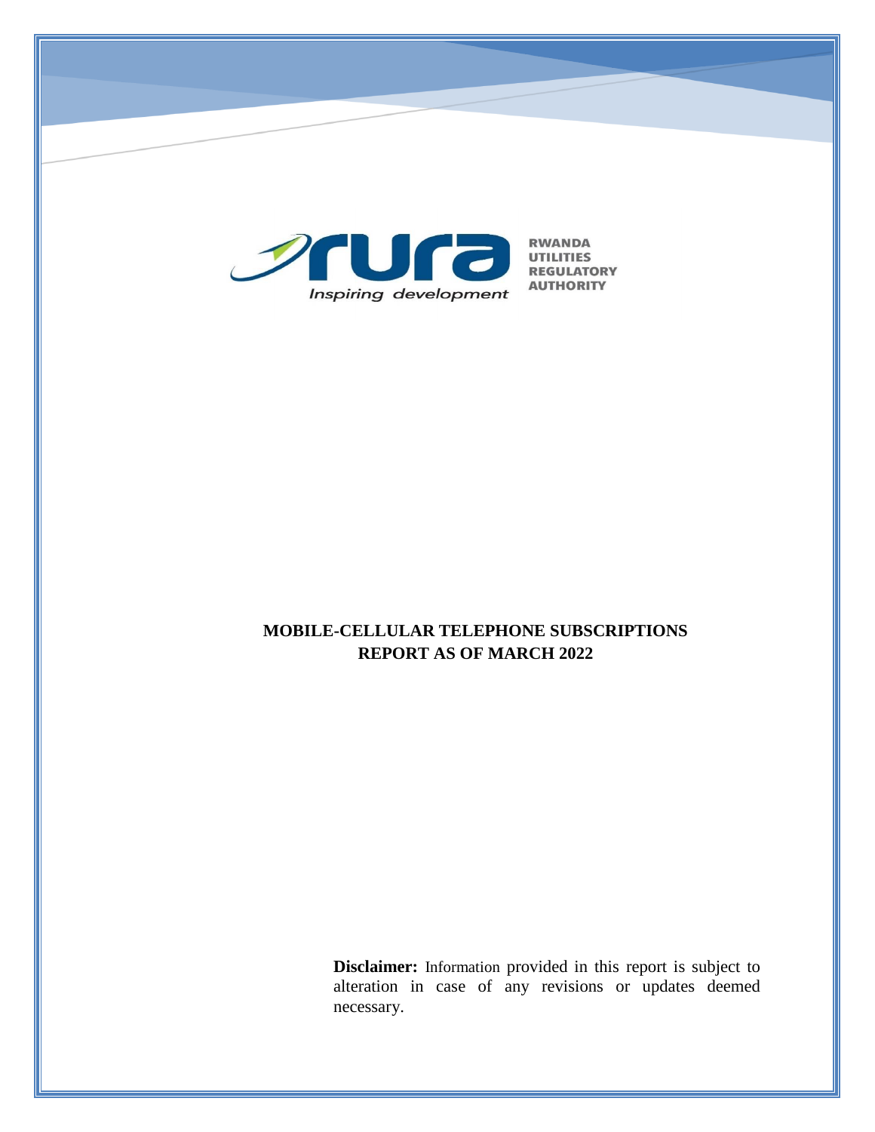

# **MOBILE-CELLULAR TELEPHONE SUBSCRIPTIONS REPORT AS OF MARCH 2022**

**Disclaimer:** Information provided in this report is subject to alteration in case of any revisions or updates deemed necessary.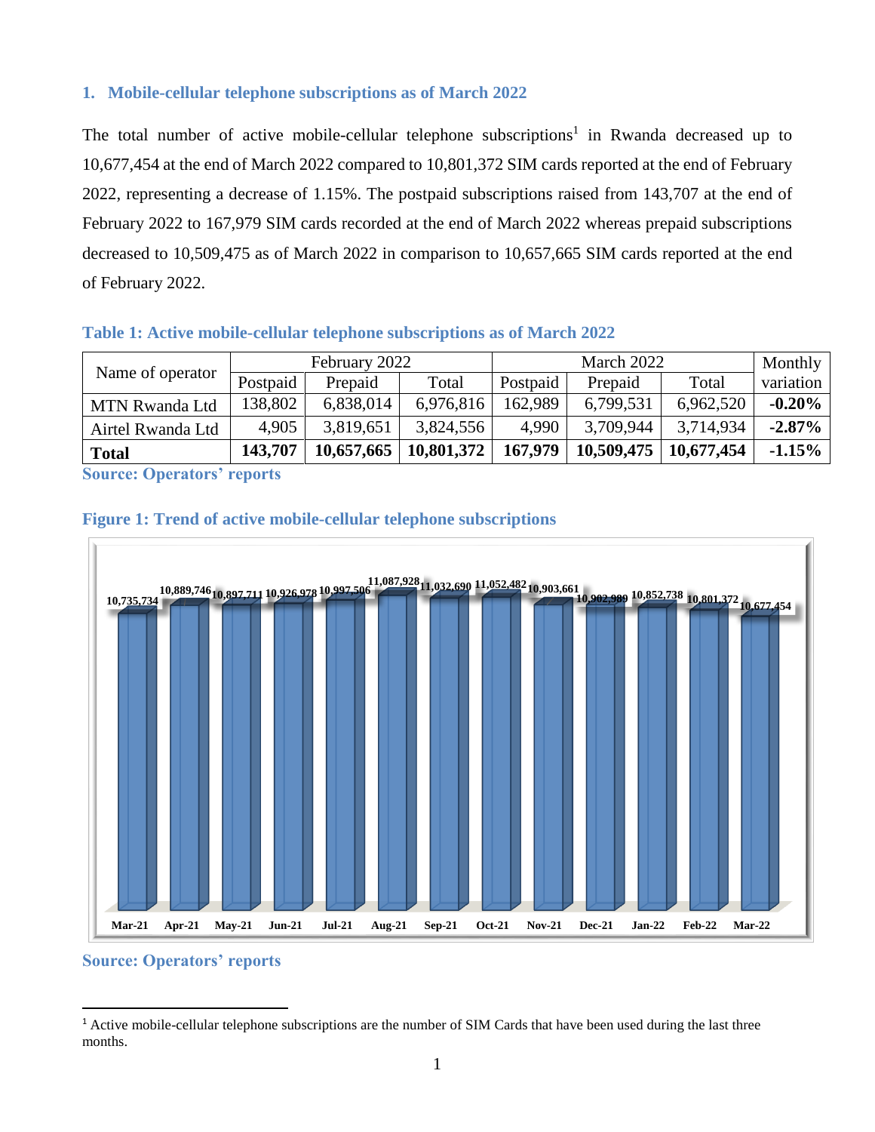#### **1. Mobile-cellular telephone subscriptions as of March 2022**

The total number of active mobile-cellular telephone subscriptions<sup>1</sup> in Rwanda decreased up to 10,677,454 at the end of March 2022 compared to 10,801,372 SIM cards reported at the end of February 2022, representing a decrease of 1.15%. The postpaid subscriptions raised from 143,707 at the end of February 2022 to 167,979 SIM cards recorded at the end of March 2022 whereas prepaid subscriptions decreased to 10,509,475 as of March 2022 in comparison to 10,657,665 SIM cards reported at the end of February 2022.

#### **Table 1: Active mobile-cellular telephone subscriptions as of March 2022**

| Name of operator                          | February 2022 |            |            | March 2022 |            |            | Monthly   |
|-------------------------------------------|---------------|------------|------------|------------|------------|------------|-----------|
|                                           | Postpaid      | Prepaid    | Total      | Postpaid   | Prepaid    | Total      | variation |
| <b>MTN Rwanda Ltd</b>                     | 138,802       | 6,838,014  | 6,976,816  | 162,989    | 6,799,531  | 6,962,520  | $-0.20%$  |
| Airtel Rwanda Ltd                         | 4,905         | 3,819,651  | 3,824,556  | 4,990      | 3,709,944  | 3,714,934  | $-2.87%$  |
| <b>Total</b>                              | 143,707       | 10,657,665 | 10,801,372 | 167,979    | 10,509,475 | 10,677,454 | $-1.15%$  |
| $\sim$ $\sim$ $\sim$ $\sim$ $\sim$ $\sim$ |               |            |            |            |            |            |           |

**Source: Operators' reports**

## **Figure 1: Trend of active mobile-cellular telephone subscriptions**



#### **Source: Operators' reports**

 $\overline{a}$ 

 $<sup>1</sup>$  Active mobile-cellular telephone subscriptions are the number of SIM Cards that have been used during the last three</sup> months.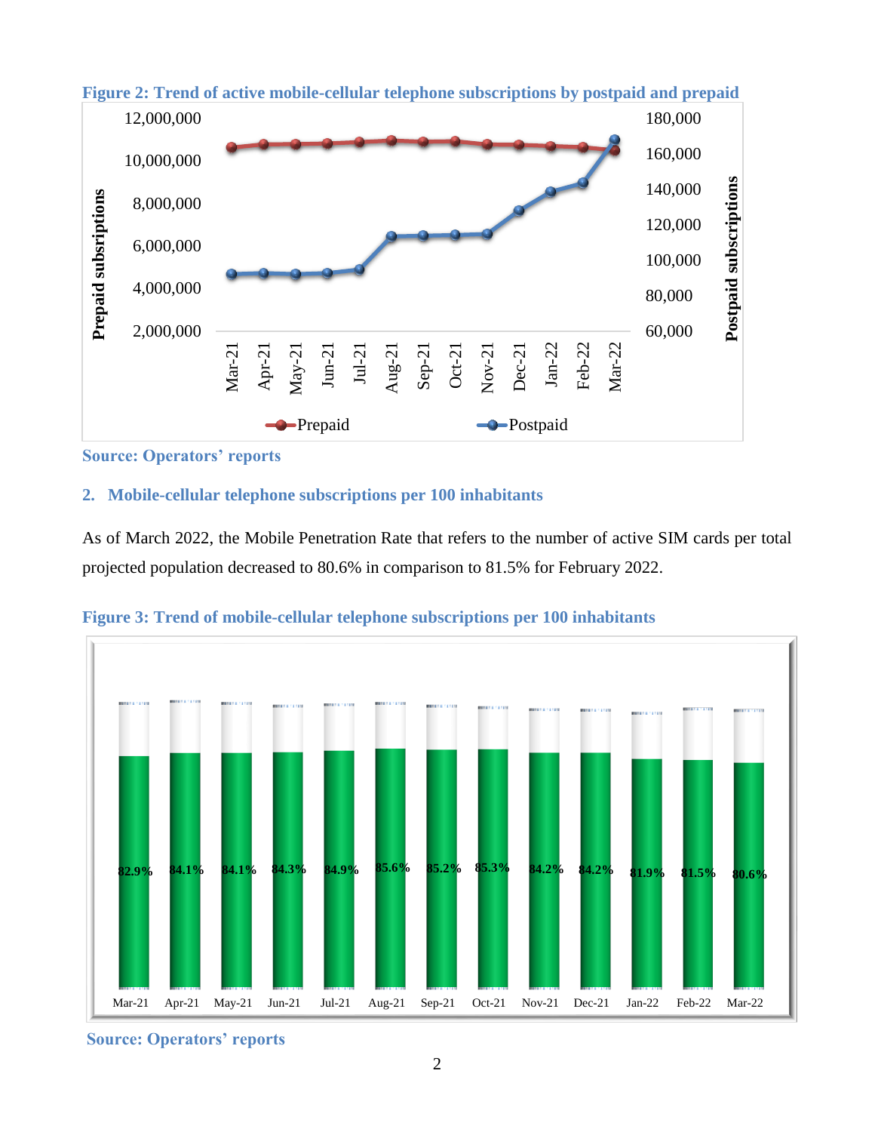

**Figure 2: Trend of active mobile-cellular telephone subscriptions by postpaid and prepaid**

**Source: Operators' reports**

## **2. Mobile-cellular telephone subscriptions per 100 inhabitants**

As of March 2022, the Mobile Penetration Rate that refers to the number of active SIM cards per total projected population decreased to 80.6% in comparison to 81.5% for February 2022.



**Figure 3: Trend of mobile-cellular telephone subscriptions per 100 inhabitants**

**Source: Operators' reports**